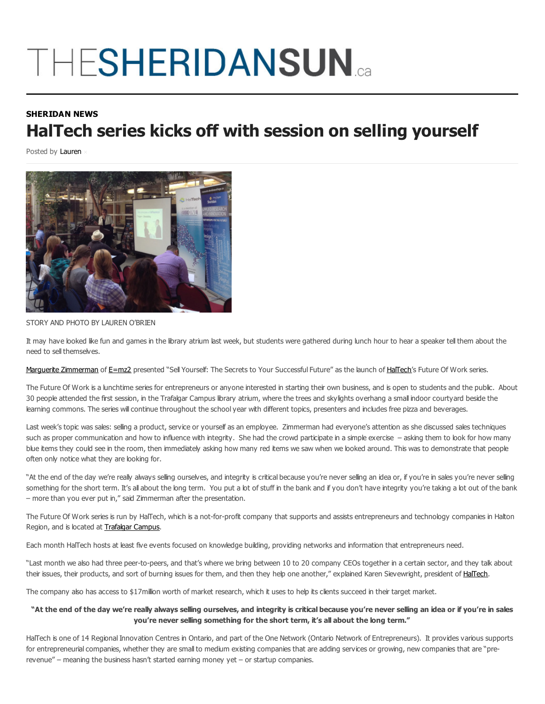## THESHERIDANSUN

## **SHERIDAN NEWS HalTech series kicks off with session on selling yourself**

Posted by Lauren



STORY AND PHOTO BY LAUREN O'BRIEN

It may have looked like fun and games in the library atrium last week, but students were gathered during lunch hour to hear a speaker tell them about the need to sell themselves.

Marguerite Zimmerman of E=mz2 presented "Sell Yourself: The Secrets to Your Successful Future" as the launch of HalTech's Future Of Work series.

The Future Of Work is a lunchtime series for entrepreneurs or anyone interested in starting their own business, and is open to students and the public. About 30 people attended the first session, in the Trafalgar Campus library atrium, where the trees and skylights overhang a small indoor courtyard beside the learning commons. The series will continue throughout the school year with different topics, presenters and includes free pizza and beverages.

Last week's topic was sales: selling a product, service or yourself as an employee. Zimmerman had everyone's attention as she discussed sales techniques such as proper communication and how to influence with integrity. She had the crowd participate in a simple exercise – asking them to look for how many blue items they could see in the room, then immediately asking how many red items we saw when we looked around. This was to demonstrate that people often only notice what they are looking for.

"At the end of the day we're really always selling ourselves, and integrity is critical because you're never selling an idea or, if you're in sales you're never selling something for the short term. It's all about the long term. You put a lot of stuff in the bank and if you don't have integrity you're taking a lot out of the bank – more than you ever put in," said Zimmerman after the presentation.

The Future Of Work series is run by HalTech, which is a not-for-profit company that supports and assists entrepreneurs and technology companies in Halton Region, and is located at Trafalgar Campus.

Each month HalTech hosts at least five events focused on knowledge building, providing networks and information that entrepreneurs need.

"Last month we also had three peer-to-peers, and that's where we bring between 10 to 20 company CEOs together in a certain sector, and they talk about their issues, their products, and sort of burning issues for them, and then they help one another," explained Karen Sievewright, president of HalTech.

The company also has access to \$17million worth of market research, which it uses to help its clients succeed in their target market.

## "At the end of the day we're really always selling ourselves, and integrity is critical because you're never selling an idea or if you're in sales **you're never selling something for the short term, it's all about the long term."**

HalTech is one of 14 Regional Innovation Centres in Ontario, and part of the One Network (Ontario Network of Entrepreneurs). It provides various supports for entrepreneurial companies, whether they are small to medium existing companies that are adding services or growing, new companies that are "prerevenue" – meaning the business hasn't started earning money yet – or startup companies.